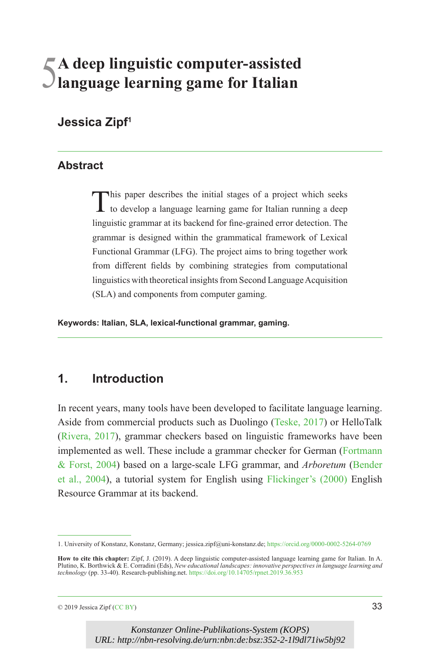# 5**A deep linguistic computer-assisted language learning game for Italian**

# **Jessica Zipf1**

#### **Abstract**

This paper describes the initial stages of a project which seeks to develop a language learning game for Italian running a deep linguistic grammar at its backend for fine-grained error detection. The grammar is designed within the grammatical framework of Lexical Functional Grammar (LFG). The project aims to bring together work from different fields by combining strategies from computational linguistics with theoretical insights from Second Language Acquisition (SLA) and components from computer gaming.

**Keywords: Italian, SLA, lexical-functional grammar, gaming.**

# **1. Introduction**

In recent years, many tools have been developed to facilitate language learning. Aside from commercial products such as Duolingo ([Teske, 2017](#page-7-0)) or HelloTalk ([Rivera, 2017\)](#page-7-1), grammar checkers based on linguistic frameworks have been implemented as well. These include a grammar checker for German ([Fortmann](#page-7-2) [& Forst, 2004](#page-7-2)) based on a large-scale LFG grammar, and *Arboretum* [\(Bender](#page-6-0) [et al., 2004](#page-6-0)), a tutorial system for English using [Flickinger's \(2000\)](#page-7-3) English Resource Grammar at its backend.

 $\degree$  2019 Jessica Zipf ([CC BY\)](https://creativecommons.org/licenses/by/4.0/) 33

<sup>1.</sup> University of Konstanz, Konstanz, Germany; jessica.zipf@uni-konstanz.de;<https://orcid.org/0000-0002-5264-0769>

How to cite this chapter: Zipf, J. (2019). A deep linguistic computer-assisted language learning game for Italian. In A.<br>Plutino, K. Borthwick & E. Corradini (Eds), *New educational landscapes: innovative perspectives in l technology* (pp. 33-40). Research-publishing.net. <https://doi.org/10.14705/rpnet.2019.36.953>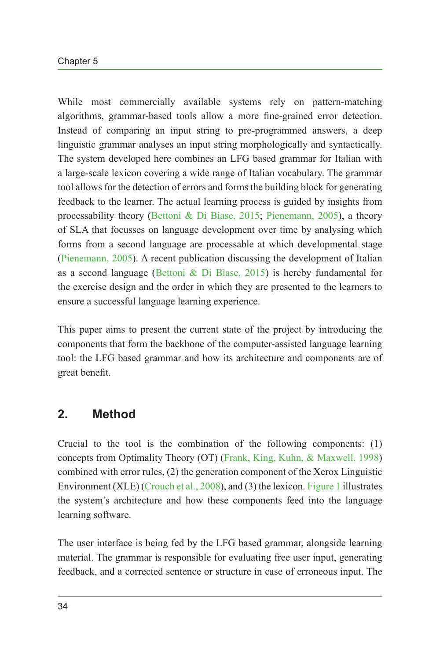While most commercially available systems rely on pattern-matching algorithms, grammar-based tools allow a more fine-grained error detection. Instead of comparing an input string to pre-programmed answers, a deep linguistic grammar analyses an input string morphologically and syntactically. The system developed here combines an LFG based grammar for Italian with a large-scale lexicon covering a wide range of Italian vocabulary. The grammar tool allows for the detection of errors and forms the building block for generating feedback to the learner. The actual learning process is guided by insights from processability theory ([Bettoni & Di Biase, 2015](#page-6-1); [Pienemann, 2005](#page-7-4)), a theory of SLA that focusses on language development over time by analysing which forms from a second language are processable at which developmental stage ([Pienemann, 2005](#page-7-4)). A recent publication discussing the development of Italian as a second language ([Bettoni & Di Biase, 2015\)](#page-6-1) is hereby fundamental for the exercise design and the order in which they are presented to the learners to ensure a successful language learning experience.

This paper aims to present the current state of the project by introducing the components that form the backbone of the computer-assisted language learning tool: the LFG based grammar and how its architecture and components are of great benefit.

# **2. Method**

Crucial to the tool is the combination of the following components: (1) concepts from Optimality Theory (OT) ([Frank, King, Kuhn, & Maxwell, 1998](#page-7-5)) combined with error rules, (2) the generation component of the Xerox Linguistic Environment (XLE) [\(Crouch et al., 2008](#page-6-2)), and (3) the lexicon. [Figure](#page-2-0) 1 illustrates the system's architecture and how these components feed into the language learning software.

The user interface is being fed by the LFG based grammar, alongside learning material. The grammar is responsible for evaluating free user input, generating feedback, and a corrected sentence or structure in case of erroneous input. The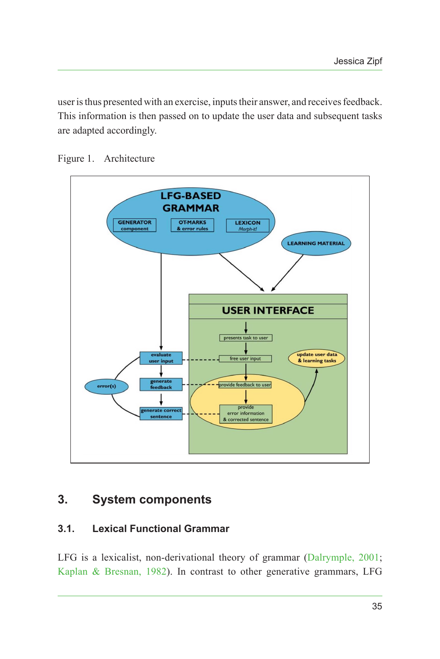user is thus presented with an exercise, inputs their answer, and receives feedback. This information is then passed on to update the user data and subsequent tasks are adapted accordingly.

<span id="page-2-0"></span>

Figure 1. Architecture

# **3. System components**

# **3.1. Lexical Functional Grammar**

LFG is a lexicalist, non-derivational theory of grammar ([Dalrymple, 2001;](#page-6-3) [Kaplan & Bresnan, 1982\)](#page-7-6). In contrast to other generative grammars, LFG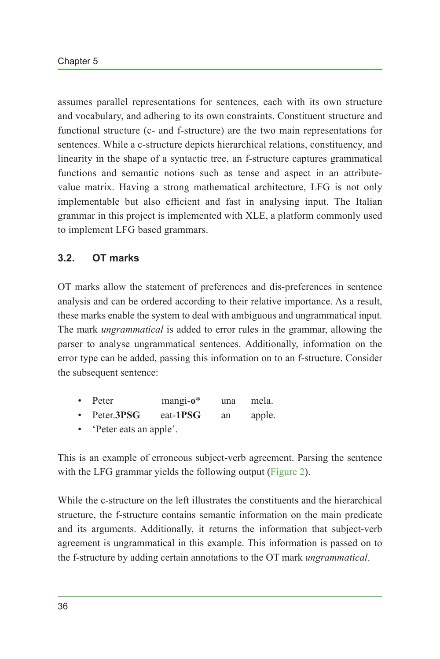assumes parallel representations for sentences, each with its own structure and vocabulary, and adhering to its own constraints. Constituent structure and functional structure (c- and f-structure) are the two main representations for sentences. While a c-structure depicts hierarchical relations, constituency, and linearity in the shape of a syntactic tree, an f-structure captures grammatical functions and semantic notions such as tense and aspect in an attributevalue matrix. Having a strong mathematical architecture, LFG is not only implementable but also efficient and fast in analysing input. The Italian grammar in this project is implemented with XLE, a platform commonly used to implement LFG based grammars.

### **3.2. OT marks**

OT marks allow the statement of preferences and dis-preferences in sentence analysis and can be ordered according to their relative importance. As a result, these marks enable the system to deal with ambiguous and ungrammatical input. The mark *ungrammatical* is added to error rules in the grammar, allowing the parser to analyse ungrammatical sentences. Additionally, information on the error type can be added, passing this information on to an f-structure. Consider the subsequent sentence:

|  |  | Peter | mangi- $o^*$ | una | mela. |
|--|--|-------|--------------|-----|-------|
|--|--|-------|--------------|-----|-------|

- Peter.**3PSG** eat-**1PSG** an apple.
- 'Peter eats an apple'.

This is an example of erroneous subject-verb agreement. Parsing the sentence with the LFG grammar yields the following output ([Figure 2](#page-4-0)).

While the c-structure on the left illustrates the constituents and the hierarchical structure, the f-structure contains semantic information on the main predicate and its arguments. Additionally, it returns the information that subject-verb agreement is ungrammatical in this example. This information is passed on to the f-structure by adding certain annotations to the OT mark *ungrammatical*.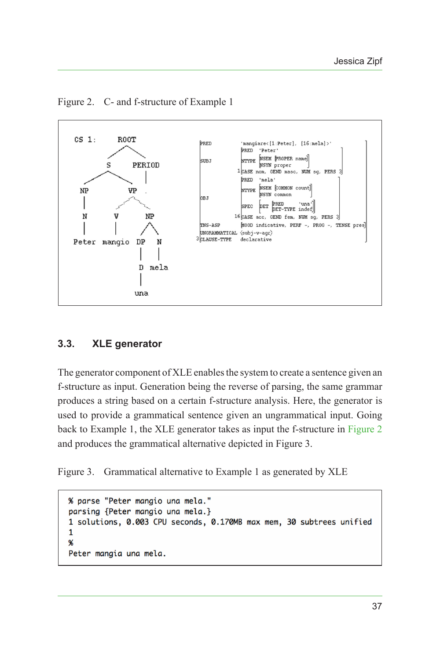

<span id="page-4-0"></span>Figure 2. C- and f-structure of Example 1

#### **3.3. XLE generator**

The generator component of XLE enables the system to create a sentence given an f-structure as input. Generation being the reverse of parsing, the same grammar produces a string based on a certain f-structure analysis. Here, the generator is used to provide a grammatical sentence given an ungrammatical input. Going back to Example 1, the XLE generator takes as input the f-structure in [Figure 2](#page-4-0) and produces the grammatical alternative depicted in Figure 3.

Figure 3. Grammatical alternative to Example 1 as generated by XLE

```
% parse "Peter mangio una mela."
parsing {Peter mangio una mela.}
1 solutions, 0.003 CPU seconds, 0.170MB max mem, 30 subtrees unified
\mathbf{1}℁
Peter mangia una mela.
```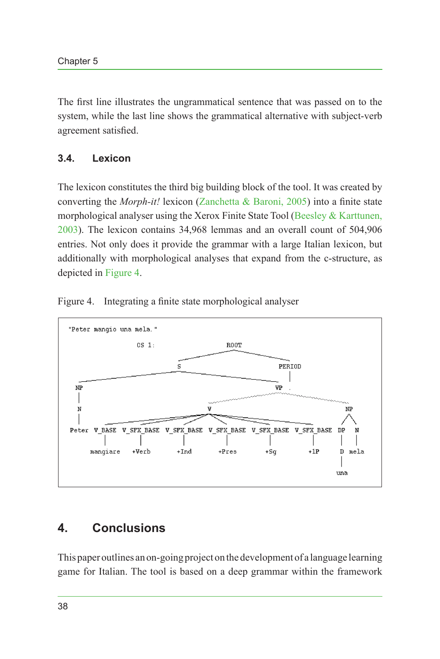The first line illustrates the ungrammatical sentence that was passed on to the system, while the last line shows the grammatical alternative with subject-verb agreement satisfied.

#### **3.4. Lexicon**

The lexicon constitutes the third big building block of the tool. It was created by converting the *Morph-it!* lexicon ([Zanchetta & Baroni, 2005](#page-7-7)) into a finite state morphological analyser using the Xerox Finite State Tool ([Beesley & Karttunen,](#page-6-4) [2003\)](#page-6-4). The lexicon contains 34,968 lemmas and an overall count of 504,906 entries. Not only does it provide the grammar with a large Italian lexicon, but additionally with morphological analyses that expand from the c-structure, as depicted in [Figure 4.](#page-5-0)



<span id="page-5-0"></span>

# **4. Conclusions**

This paper outlines an on-going project on the development of a language learning game for Italian. The tool is based on a deep grammar within the framework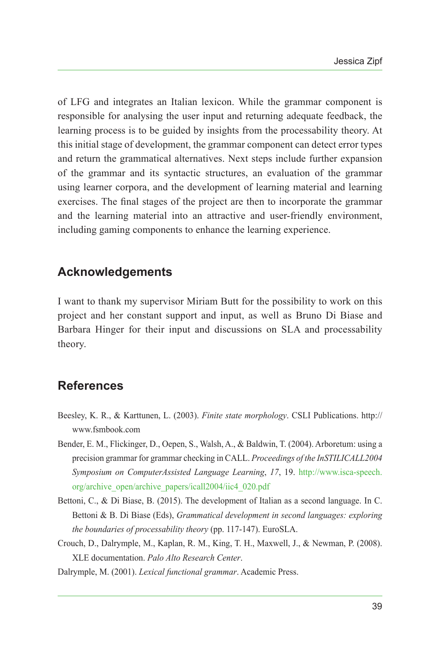of LFG and integrates an Italian lexicon. While the grammar component is responsible for analysing the user input and returning adequate feedback, the learning process is to be guided by insights from the processability theory. At this initial stage of development, the grammar component can detect error types and return the grammatical alternatives. Next steps include further expansion of the grammar and its syntactic structures, an evaluation of the grammar using learner corpora, and the development of learning material and learning exercises. The final stages of the project are then to incorporate the grammar and the learning material into an attractive and user-friendly environment, including gaming components to enhance the learning experience.

# **Acknowledgements**

I want to thank my supervisor Miriam Butt for the possibility to work on this project and her constant support and input, as well as Bruno Di Biase and Barbara Hinger for their input and discussions on SLA and processability theory.

# **References**

- <span id="page-6-4"></span>Beesley, K. R., & Karttunen, L. (2003). *Finite state morphology*. CSLI Publications. http:// www.fsmbook.com
- <span id="page-6-0"></span>Bender, E. M., Flickinger, D., Oepen, S., Walsh, A., & Baldwin, T. (2004). Arboretum: using a precision grammar for grammar checking in CALL. *Proceedings of the InSTILICALL2004 Symposium on ComputerAssisted Language Learning*, *17*, 19. [http://www.isca-speech.](http://www.isca-speech.org/archive_open/archive_papers/icall2004/iic4_020.pdf) [org/archive\\_open/archive\\_papers/icall2004/iic4\\_020.pdf](http://www.isca-speech.org/archive_open/archive_papers/icall2004/iic4_020.pdf)
- <span id="page-6-1"></span>Bettoni, C., & Di Biase, B. (2015). The development of Italian as a second language. In C. Bettoni & B. Di Biase (Eds), *Grammatical development in second languages: exploring the boundaries of processability theory* (pp. 117-147). EuroSLA.
- <span id="page-6-2"></span>Crouch, D., Dalrymple, M., Kaplan, R. M., King, T. H., Maxwell, J., & Newman, P. (2008). XLE documentation. *Palo Alto Research Center*.

<span id="page-6-3"></span>Dalrymple, M. (2001). *Lexical functional grammar*. Academic Press.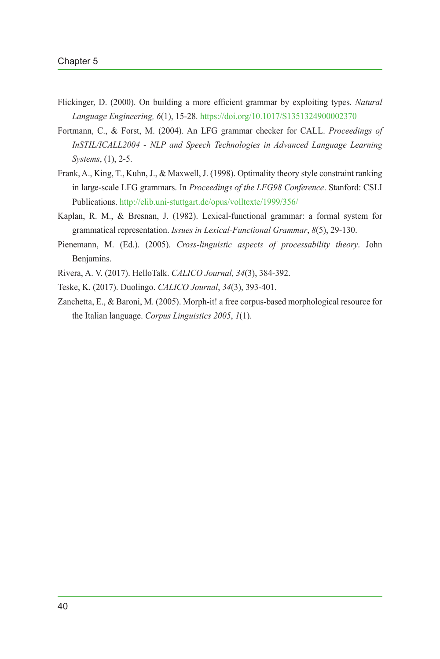- <span id="page-7-3"></span>Flickinger, D. (2000). On building a more efficient grammar by exploiting types. *Natural Language Engineering, 6*(1), 15-28.<https://doi.org/10.1017/S1351324900002370>
- <span id="page-7-2"></span>Fortmann, C., & Forst, M. (2004). An LFG grammar checker for CALL. *Proceedings of InSTIL/ICALL2004 - NLP and Speech Technologies in Advanced Language Learning Systems*, (1), 2-5.
- <span id="page-7-5"></span>Frank, A., King, T., Kuhn, J., & Maxwell, J. (1998). Optimality theory style constraint ranking in large-scale LFG grammars. In *Proceedings of the LFG98 Conference*. Stanford: CSLI Publications.<http://elib.uni-stuttgart.de/opus/volltexte/1999/356/>
- <span id="page-7-6"></span>Kaplan, R. M., & Bresnan, J. (1982). Lexical-functional grammar: a formal system for grammatical representation. *Issues in Lexical-Functional Grammar*, *8*(5), 29-130.
- <span id="page-7-4"></span>Pienemann, M. (Ed.). (2005). *Cross-linguistic aspects of processability theory*. John Benjamins.
- <span id="page-7-1"></span>Rivera, A. V. (2017). HelloTalk. *CALICO Journal, 34*(3), 384-392.
- <span id="page-7-0"></span>Teske, K. (2017). Duolingo. *CALICO Journal*, *34*(3), 393-401.
- <span id="page-7-7"></span>Zanchetta, E., & Baroni, M. (2005). Morph-it! a free corpus-based morphological resource for the Italian language. *Corpus Linguistics 2005*, *1*(1).